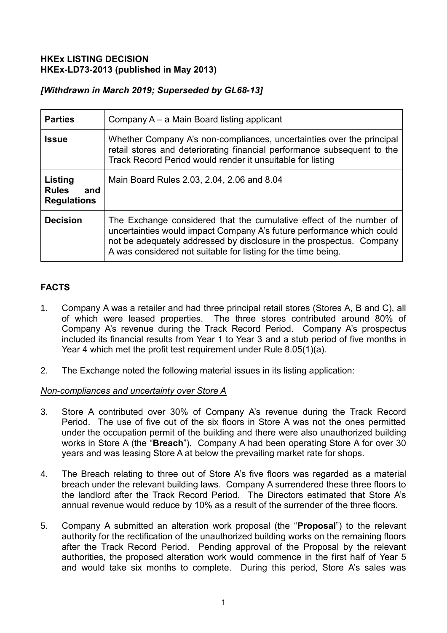#### **HKEx LISTING DECISION HKEx-LD73-2013 (published in May 2013)**

# *[Withdrawn in March 2019; Superseded by GL68-13]*

| <b>Parties</b>                                       | Company A – a Main Board listing applicant                                                                                                                                                                                                                                            |
|------------------------------------------------------|---------------------------------------------------------------------------------------------------------------------------------------------------------------------------------------------------------------------------------------------------------------------------------------|
| <b>Issue</b>                                         | Whether Company A's non-compliances, uncertainties over the principal<br>retail stores and deteriorating financial performance subsequent to the<br>Track Record Period would render it unsuitable for listing                                                                        |
| Listing<br><b>Rules</b><br>and<br><b>Regulations</b> | Main Board Rules 2.03, 2.04, 2.06 and 8.04                                                                                                                                                                                                                                            |
| <b>Decision</b>                                      | The Exchange considered that the cumulative effect of the number of<br>uncertainties would impact Company A's future performance which could<br>not be adequately addressed by disclosure in the prospectus. Company<br>A was considered not suitable for listing for the time being. |

# **FACTS**

- 1. Company A was a retailer and had three principal retail stores (Stores A, B and C), all of which were leased properties. The three stores contributed around 80% of Company A's revenue during the Track Record Period. Company A's prospectus included its financial results from Year 1 to Year 3 and a stub period of five months in Year 4 which met the profit test requirement under Rule 8.05(1)(a).
- 2. The Exchange noted the following material issues in its listing application:

## *Non-compliances and uncertainty over Store A*

- 3. Store A contributed over 30% of Company A's revenue during the Track Record Period. The use of five out of the six floors in Store A was not the ones permitted under the occupation permit of the building and there were also unauthorized building works in Store A (the "**Breach**"). Company A had been operating Store A for over 30 years and was leasing Store A at below the prevailing market rate for shops.
- 4. The Breach relating to three out of Store A's five floors was regarded as a material breach under the relevant building laws. Company A surrendered these three floors to the landlord after the Track Record Period. The Directors estimated that Store A's annual revenue would reduce by 10% as a result of the surrender of the three floors.
- 5. Company A submitted an alteration work proposal (the "**Proposal**") to the relevant authority for the rectification of the unauthorized building works on the remaining floors after the Track Record Period. Pending approval of the Proposal by the relevant authorities, the proposed alteration work would commence in the first half of Year 5 and would take six months to complete. During this period, Store A's sales was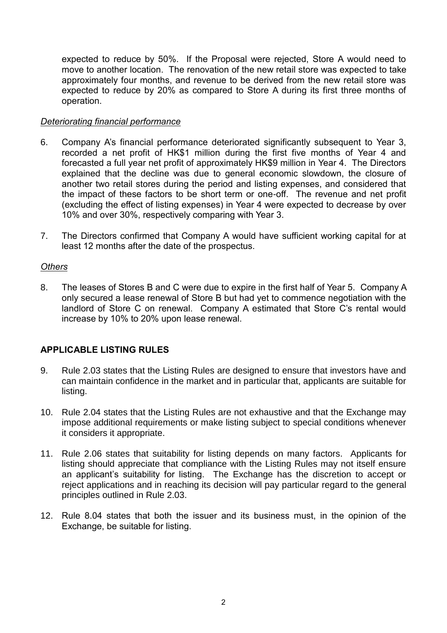expected to reduce by 50%. If the Proposal were rejected, Store A would need to move to another location. The renovation of the new retail store was expected to take approximately four months, and revenue to be derived from the new retail store was expected to reduce by 20% as compared to Store A during its first three months of operation.

#### *Deteriorating financial performance*

- 6. Company A's financial performance deteriorated significantly subsequent to Year 3, recorded a net profit of HK\$1 million during the first five months of Year 4 and forecasted a full year net profit of approximately HK\$9 million in Year 4. The Directors explained that the decline was due to general economic slowdown, the closure of another two retail stores during the period and listing expenses, and considered that the impact of these factors to be short term or one-off. The revenue and net profit (excluding the effect of listing expenses) in Year 4 were expected to decrease by over 10% and over 30%, respectively comparing with Year 3.
- 7. The Directors confirmed that Company A would have sufficient working capital for at least 12 months after the date of the prospectus.

## *Others*

8. The leases of Stores B and C were due to expire in the first half of Year 5. Company A only secured a lease renewal of Store B but had yet to commence negotiation with the landlord of Store C on renewal. Company A estimated that Store C's rental would increase by 10% to 20% upon lease renewal.

## **APPLICABLE LISTING RULES**

- 9. Rule 2.03 states that the Listing Rules are designed to ensure that investors have and can maintain confidence in the market and in particular that, applicants are suitable for listing.
- 10. Rule 2.04 states that the Listing Rules are not exhaustive and that the Exchange may impose additional requirements or make listing subject to special conditions whenever it considers it appropriate.
- 11. Rule 2.06 states that suitability for listing depends on many factors. Applicants for listing should appreciate that compliance with the Listing Rules may not itself ensure an applicant's suitability for listing. The Exchange has the discretion to accept or reject applications and in reaching its decision will pay particular regard to the general principles outlined in Rule 2.03.
- 12. Rule 8.04 states that both the issuer and its business must, in the opinion of the Exchange, be suitable for listing.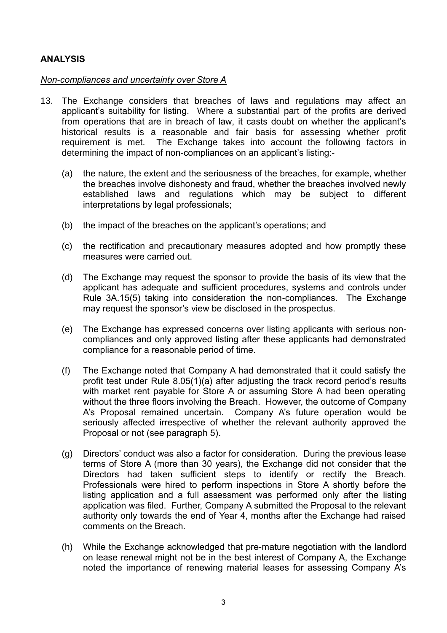## **ANALYSIS**

#### *Non-compliances and uncertainty over Store A*

- 13. The Exchange considers that breaches of laws and regulations may affect an applicant's suitability for listing. Where a substantial part of the profits are derived from operations that are in breach of law, it casts doubt on whether the applicant's historical results is a reasonable and fair basis for assessing whether profit requirement is met. The Exchange takes into account the following factors in determining the impact of non-compliances on an applicant's listing:-
	- (a) the nature, the extent and the seriousness of the breaches, for example, whether the breaches involve dishonesty and fraud, whether the breaches involved newly established laws and regulations which may be subject to different interpretations by legal professionals;
	- (b) the impact of the breaches on the applicant's operations; and
	- (c) the rectification and precautionary measures adopted and how promptly these measures were carried out.
	- (d) The Exchange may request the sponsor to provide the basis of its view that the applicant has adequate and sufficient procedures, systems and controls under Rule 3A.15(5) taking into consideration the non-compliances. The Exchange may request the sponsor's view be disclosed in the prospectus.
	- (e) The Exchange has expressed concerns over listing applicants with serious noncompliances and only approved listing after these applicants had demonstrated compliance for a reasonable period of time.
	- (f) The Exchange noted that Company A had demonstrated that it could satisfy the profit test under Rule 8.05(1)(a) after adjusting the track record period's results with market rent payable for Store A or assuming Store A had been operating without the three floors involving the Breach. However, the outcome of Company A's Proposal remained uncertain. Company A's future operation would be seriously affected irrespective of whether the relevant authority approved the Proposal or not (see paragraph 5).
	- (g) Directors' conduct was also a factor for consideration. During the previous lease terms of Store A (more than 30 years), the Exchange did not consider that the Directors had taken sufficient steps to identify or rectify the Breach. Professionals were hired to perform inspections in Store A shortly before the listing application and a full assessment was performed only after the listing application was filed. Further, Company A submitted the Proposal to the relevant authority only towards the end of Year 4, months after the Exchange had raised comments on the Breach.
	- (h) While the Exchange acknowledged that pre-mature negotiation with the landlord on lease renewal might not be in the best interest of Company A, the Exchange noted the importance of renewing material leases for assessing Company A's